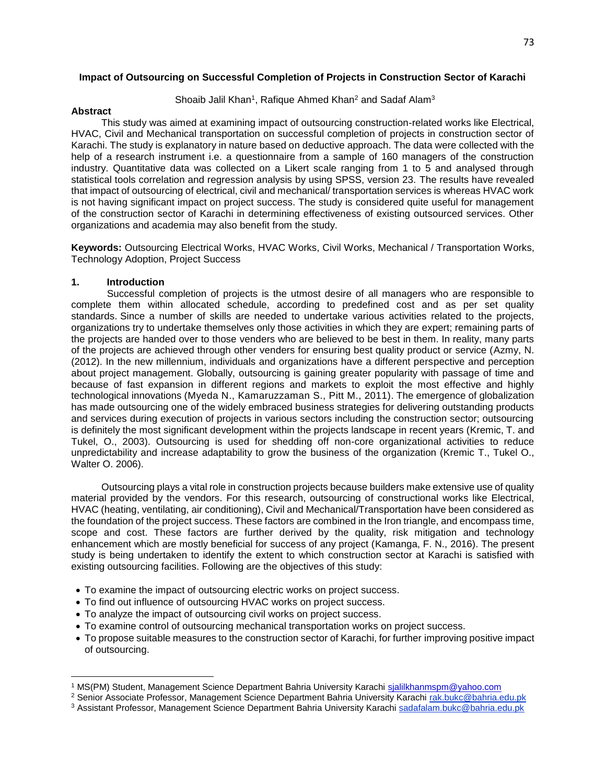## **Impact of Outsourcing on Successful Completion of Projects in Construction Sector of Karachi**

Shoaib Jalil Khan<sup>1</sup>, Rafique Ahmed Khan<sup>2</sup> and Sadaf Alam<sup>3</sup>

#### **Abstract**

 This study was aimed at examining impact of outsourcing construction-related works like Electrical, HVAC, Civil and Mechanical transportation on successful completion of projects in construction sector of Karachi. The study is explanatory in nature based on deductive approach. The data were collected with the help of a research instrument i.e. a questionnaire from a sample of 160 managers of the construction industry. Quantitative data was collected on a Likert scale ranging from 1 to 5 and analysed through statistical tools correlation and regression analysis by using SPSS, version 23. The results have revealed that impact of outsourcing of electrical, civil and mechanical/ transportation services is whereas HVAC work is not having significant impact on project success. The study is considered quite useful for management of the construction sector of Karachi in determining effectiveness of existing outsourced services. Other organizations and academia may also benefit from the study.

**Keywords:** Outsourcing Electrical Works, HVAC Works, Civil Works, Mechanical / Transportation Works, Technology Adoption, Project Success

#### **1. Introduction**

 $\overline{\phantom{a}}$ 

 Successful completion of projects is the utmost desire of all managers who are responsible to complete them within allocated schedule, according to predefined cost and as per set quality standards. Since a number of skills are needed to undertake various activities related to the projects, organizations try to undertake themselves only those activities in which they are expert; remaining parts of the projects are handed over to those venders who are believed to be best in them. In reality, many parts of the projects are achieved through other venders for ensuring best quality product or service (Azmy, N. (2012). In the new millennium, individuals and organizations have a different perspective and perception about project management. Globally, outsourcing is gaining greater popularity with passage of time and because of fast expansion in different regions and markets to exploit the most effective and highly technological innovations [\(Myeda](https://www.emeraldinsight.com/author/Elyna+Myeda%2C+Nik) N., [Kamaruzzaman](https://www.emeraldinsight.com/author/Nizam+Kamaruzzaman%2C+Syahrul) S., [Pitt](https://www.emeraldinsight.com/author/Pitt%2C+Michael) M., 2011). The emergence of globalization has made outsourcing one of the widely embraced business strategies for delivering outstanding products and services during execution of projects in various sectors including the construction sector; outsourcing is definitely the most significant development within the projects landscape in recent years (Kremic, T. and Tukel, O., 2003). Outsourcing is used for shedding off non-core organizational activities to reduce unpredictability and increase adaptability to grow the business of the organization (Kremic T., Tukel O., Walter O. 2006).

 Outsourcing plays a vital role in construction projects because builders make extensive use of quality material provided by the vendors. For this research, outsourcing of constructional works like Electrical, HVAC (heating, ventilating, air conditioning), Civil and Mechanical/Transportation have been considered as the foundation of the project success. These factors are combined in the Iron triangle, and encompass time, scope and cost. These factors are further derived by the quality, risk mitigation and technology enhancement which are mostly beneficial for success of any project (Kamanga, F. N., 2016). The present study is being undertaken to identify the extent to which construction sector at Karachi is satisfied with existing outsourcing facilities. Following are the objectives of this study:

- To examine the impact of outsourcing electric works on project success.
- To find out influence of outsourcing HVAC works on project success.
- To analyze the impact of outsourcing civil works on project success.
- To examine control of outsourcing mechanical transportation works on project success.
- To propose suitable measures to the construction sector of Karachi, for further improving positive impact of outsourcing.

<sup>1</sup> MS(PM) Student, Management Science Department Bahria University Karachi sjalilkhanmspm@yahoo.com

<sup>2</sup> Senior Associate Professor, Management Science Department Bahria University Karachi rak.bukc@bahria.edu.pk

<sup>3</sup> Assistant Professor, Management Science Department Bahria University Karachi sadafalam.bukc@bahria.edu.pk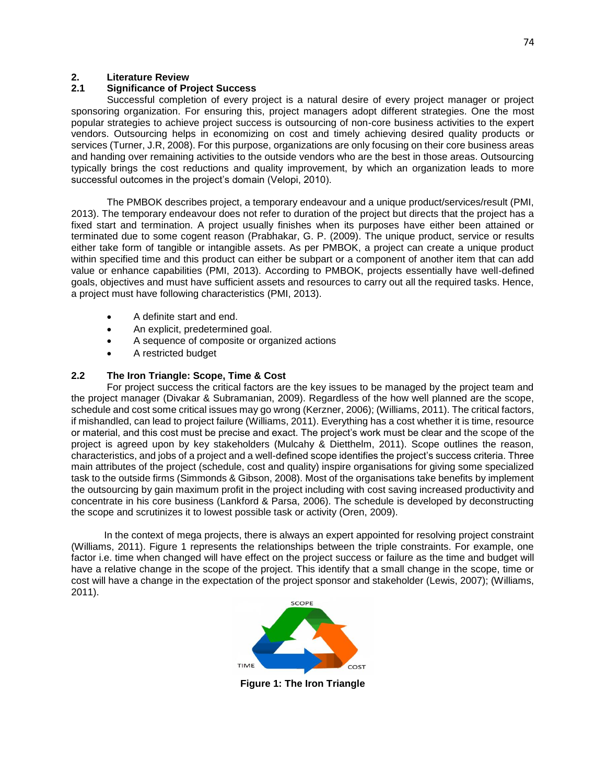# **2. Literature Review**

## **2.1 Significance of Project Success**

 Successful completion of every project is a natural desire of every project manager or project sponsoring organization. For ensuring this, project managers adopt different strategies. One the most popular strategies to achieve project success is outsourcing of non-core business activities to the expert vendors. Outsourcing helps in economizing on cost and timely achieving desired quality products or services (Turner, J.R, 2008). For this purpose, organizations are only focusing on their core business areas and handing over remaining activities to the outside vendors who are the best in those areas. Outsourcing typically brings the cost reductions and quality improvement, by which an organization leads to more successful outcomes in the project's domain (Velopi, 2010).

 The PMBOK describes project, a temporary endeavour and a unique product/services/result (PMI, 2013). The temporary endeavour does not refer to duration of the project but directs that the project has a fixed start and termination. A project usually finishes when its purposes have either been attained or terminated due to some cogent reason (Prabhakar, G. P. (2009). The unique product, service or results either take form of tangible or intangible assets. As per PMBOK, a project can create a unique product within specified time and this product can either be subpart or a component of another item that can add value or enhance capabilities (PMI, 2013). According to PMBOK, projects essentially have well-defined goals, objectives and must have sufficient assets and resources to carry out all the required tasks. Hence, a project must have following characteristics (PMI, 2013).

- A definite start and end.
- An explicit, predetermined goal.
- A sequence of composite or organized actions
- A restricted budget

# **2.2 The Iron Triangle: Scope, Time & Cost**

 For project success the critical factors are the key issues to be managed by the project team and the project manager (Divakar & Subramanian, 2009). Regardless of the how well planned are the scope, schedule and cost some critical issues may go wrong (Kerzner, 2006); (Williams, 2011). The critical factors, if mishandled, can lead to project failure (Williams, 2011). Everything has a cost whether it is time, resource or material, and this cost must be precise and exact. The project's work must be clear and the scope of the project is agreed upon by key stakeholders (Mulcahy & Dietthelm, 2011). Scope outlines the reason, characteristics, and jobs of a project and a well-defined scope identifies the project's success criteria. Three main attributes of the project (schedule, cost and quality) inspire organisations for giving some specialized task to the outside firms (Simmonds & Gibson, 2008). Most of the organisations take benefits by implement the outsourcing by gain maximum profit in the project including with cost saving increased productivity and concentrate in his core business (Lankford & Parsa, 2006). The schedule is developed by deconstructing the scope and scrutinizes it to lowest possible task or activity (Oren, 2009).

 In the context of mega projects, there is always an expert appointed for resolving project constraint (Williams, 2011). Figure 1 represents the relationships between the triple constraints. For example, one factor i.e. time when changed will have effect on the project success or failure as the time and budget will have a relative change in the scope of the project. This identify that a small change in the scope, time or cost will have a change in the expectation of the project sponsor and stakeholder (Lewis, 2007); (Williams, 2011).



**Figure 1: The Iron Triangle**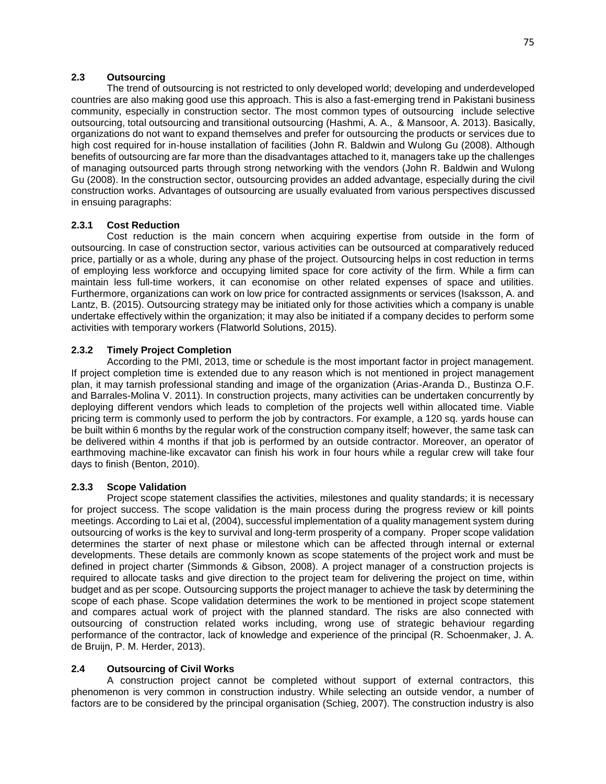# **2.3 Outsourcing**

 The trend of outsourcing is not restricted to only developed world; developing and underdeveloped countries are also making good use this approach. This is also a fast-emerging trend in Pakistani business community, especially in construction sector. The most common types of outsourcing include selective outsourcing, total outsourcing and transitional outsourcing (Hashmi, A. A., & Mansoor, A. 2013). Basically, organizations do not want to expand themselves and prefer for outsourcing the products or services due to high cost required for in-house installation of facilities (John R. Baldwin and Wulong Gu (2008). Although benefits of outsourcing are far more than the disadvantages attached to it, managers take up the challenges of managing outsourced parts through strong networking with the vendors (John R. Baldwin and Wulong Gu (2008). In the construction sector, outsourcing provides an added advantage, especially during the civil construction works. Advantages of outsourcing are usually evaluated from various perspectives discussed in ensuing paragraphs:

## **2.3.1 Cost Reduction**

 Cost reduction is the main concern when acquiring expertise from outside in the form of outsourcing. In case of construction sector, various activities can be outsourced at comparatively reduced price, partially or as a whole, during any phase of the project. Outsourcing helps in cost reduction in terms of employing less workforce and occupying limited space for core activity of the firm. While a firm can maintain less full-time workers, it can economise on other related expenses of space and utilities. Furthermore, organizations can work on low price for contracted assignments or services (Isaksson, A. and Lantz, B. (2015). Outsourcing strategy may be initiated only for those activities which a company is unable undertake effectively within the organization; it may also be initiated if a company decides to perform some activities with temporary workers (Flatworld Solutions, 2015).

## **2.3.2 Timely Project Completion**

 According to the PMI, 2013, time or schedule is the most important factor in project management. If project completion time is extended due to any reason which is not mentioned in project management plan, it may tarnish professional standing and image of the organization (Arias-Aranda D., Bustinza O.F. and Barrales-Molina V. 2011). In construction projects, many activities can be undertaken concurrently by deploying different vendors which leads to completion of the projects well within allocated time. Viable pricing term is commonly used to perform the job by contractors. For example, a 120 sq. yards house can be built within 6 months by the regular work of the construction company itself; however, the same task can be delivered within 4 months if that job is performed by an outside contractor. Moreover, an operator of earthmoving machine-like excavator can finish his work in four hours while a regular crew will take four days to finish (Benton, 2010).

## **2.3.3 Scope Validation**

 Project scope statement classifies the activities, milestones and quality standards; it is necessary for project success. The scope validation is the main process during the progress review or kill points meetings. According to Lai et al, (2004), successful implementation of a quality management system during outsourcing of works is the key to survival and long-term prosperity of a company. Proper scope validation determines the starter of next phase or milestone which can be affected through internal or external developments. These details are commonly known as scope statements of the project work and must be defined in project charter (Simmonds & Gibson, 2008). A project manager of a construction projects is required to allocate tasks and give direction to the project team for delivering the project on time, within budget and as per scope. Outsourcing supports the project manager to achieve the task by determining the scope of each phase. Scope validation determines the work to be mentioned in project scope statement and compares actual work of project with the planned standard. The risks are also connected with outsourcing of construction related works including, wrong use of strategic behaviour regarding performance of the contractor, lack of knowledge and experience of the principal (R. Schoenmaker, J. A. de Bruijn, P. M. Herder, 2013).

## **2.4 Outsourcing of Civil Works**

 A construction project cannot be completed without support of external contractors, this phenomenon is very common in construction industry. While selecting an outside vendor, a number of factors are to be considered by the principal organisation (Schieg, 2007). The construction industry is also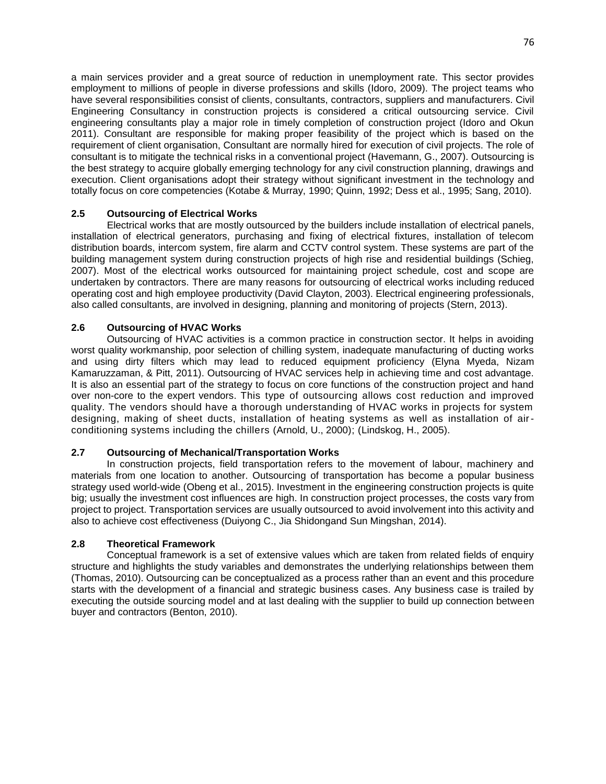a main services provider and a great source of reduction in unemployment rate. This sector provides employment to millions of people in diverse professions and skills (Idoro, 2009). The project teams who have several responsibilities consist of clients, consultants, contractors, suppliers and manufacturers. Civil Engineering Consultancy in construction projects is considered a critical outsourcing service. Civil engineering consultants play a major role in timely completion of construction project (Idoro and Okun 2011). Consultant are responsible for making proper feasibility of the project which is based on the requirement of client organisation, Consultant are normally hired for execution of civil projects. The role of consultant is to mitigate the technical risks in a conventional project (Havemann, G., 2007). Outsourcing is the best strategy to acquire globally emerging technology for any civil construction planning, drawings and execution. Client organisations adopt their strategy without significant investment in the technology and totally focus on core competencies (Kotabe & Murray, 1990; Quinn, 1992; Dess et al., 1995; Sang, 2010).

## **2.5 Outsourcing of Electrical Works**

 Electrical works that are mostly outsourced by the builders include installation of electrical panels, installation of electrical generators, purchasing and fixing of electrical fixtures, installation of telecom distribution boards, intercom system, fire alarm and CCTV control system. These systems are part of the building management system during construction projects of high rise and residential buildings (Schieg, 2007). Most of the electrical works outsourced for maintaining project schedule, cost and scope are undertaken by contractors. There are many reasons for outsourcing of electrical works including reduced operating cost and high employee productivity (David Clayton, 2003). Electrical engineering professionals, also called consultants, are involved in designing, planning and monitoring of projects (Stern, 2013).

# **2.6 Outsourcing of HVAC Works**

 Outsourcing of HVAC activities is a common practice in construction sector. It helps in avoiding worst quality workmanship, poor selection of chilling system, inadequate manufacturing of ducting works and using dirty filters which may lead to reduced equipment proficiency (Elyna Myeda, Nizam Kamaruzzaman, & Pitt, 2011). Outsourcing of HVAC services help in achieving time and cost advantage. It is also an essential part of the strategy to focus on core functions of the construction project and hand over non-core to the expert vendors. This type of outsourcing allows cost reduction and improved quality. The vendors should have a thorough understanding of HVAC works in projects for system designing, making of sheet ducts, installation of heating systems as well as installation of airconditioning systems including the chillers (Arnold, U., 2000); (Lindskog, H., 2005).

## **2.7 Outsourcing of Mechanical/Transportation Works**

 In construction projects, field transportation refers to the movement of labour, machinery and materials from one location to another. Outsourcing of transportation has become a popular business strategy used world-wide (Obeng et al., 2015). Investment in the engineering construction projects is quite big; usually the investment cost influences are high. In construction project processes, the costs vary from project to project. Transportation services are usually outsourced to avoid involvement into this activity and also to achieve cost effectiveness (Duiyong C., Jia Shidongand Sun Mingshan, 2014).

## **2.8 Theoretical Framework**

 Conceptual framework is a set of extensive values which are taken from related fields of enquiry structure and highlights the study variables and demonstrates the underlying relationships between them (Thomas, 2010). Outsourcing can be conceptualized as a process rather than an event and this procedure starts with the development of a financial and strategic business cases. Any business case is trailed by executing the outside sourcing model and at last dealing with the supplier to build up connection between buyer and contractors (Benton, 2010).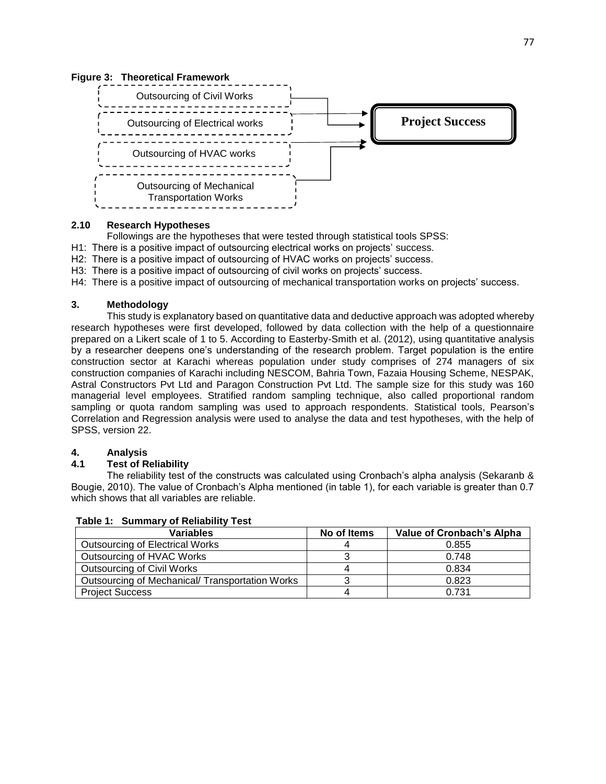#### **Figure 3: Theoretical Framework**



#### **2.10 Research Hypotheses**

Followings are the hypotheses that were tested through statistical tools SPSS:

- H1: There is a positive impact of outsourcing electrical works on projects' success.
- H2: There is a positive impact of outsourcing of HVAC works on projects' success.
- H3: There is a positive impact of outsourcing of civil works on projects' success.
- H4: There is a positive impact of outsourcing of mechanical transportation works on projects' success.

## **3. Methodology**

 This study is explanatory based on quantitative data and deductive approach was adopted whereby research hypotheses were first developed, followed by data collection with the help of a questionnaire prepared on a Likert scale of 1 to 5. According to Easterby-Smith et al. (2012), using quantitative analysis by a researcher deepens one's understanding of the research problem. Target population is the entire construction sector at Karachi whereas population under study comprises of 274 managers of six construction companies of Karachi including NESCOM, Bahria Town, Fazaia Housing Scheme, NESPAK, Astral Constructors Pvt Ltd and Paragon Construction Pvt Ltd. The sample size for this study was 160 managerial level employees. [Stratified random sampling](https://www.investopedia.com/terms/stratified_random_sampling.asp) technique, also called proportional random sampling or quota random sampling was used to approach respondents. Statistical tools, Pearson's Correlation and Regression analysis were used to analyse the data and test hypotheses, with the help of SPSS, version 22.

## **4. Analysis**

# **4.1 Test of Reliability**

 The reliability test of the constructs was calculated using Cronbach's alpha analysis (Sekaranb & Bougie, 2010). The value of Cronbach's Alpha mentioned (in table 1), for each variable is greater than 0.7 which shows that all variables are reliable.

| <b>Variables</b>                               | No of Items | <b>Value of Cronbach's Alpha</b> |
|------------------------------------------------|-------------|----------------------------------|
| <b>Outsourcing of Electrical Works</b>         |             | 0.855                            |
| Outsourcing of HVAC Works                      |             | 0.748                            |
| Outsourcing of Civil Works                     | 4           | 0.834                            |
| Outsourcing of Mechanical/Transportation Works |             | 0.823                            |
| <b>Project Success</b>                         |             | 0.731                            |

## **Table 1: Summary of Reliability Test**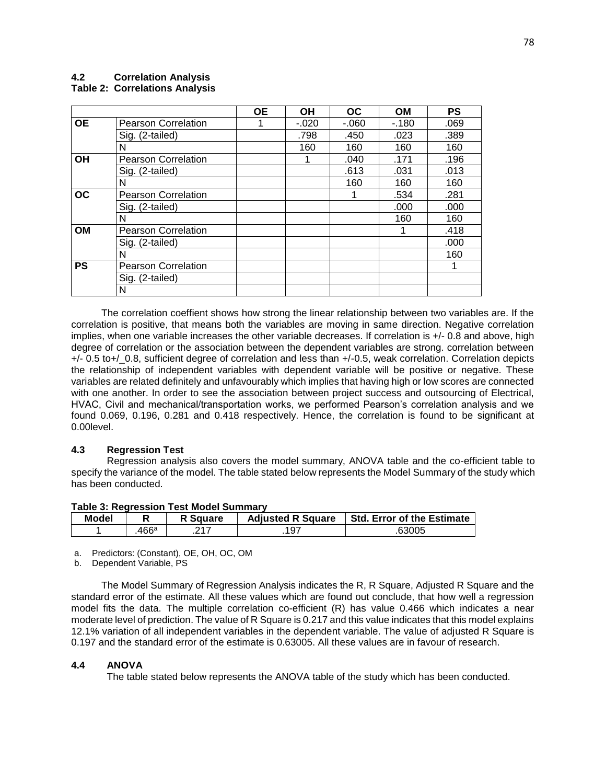#### **4.2 Correlation Analysis Table 2: Correlations Analysis**

|           |                            | <b>OE</b> | <b>OH</b> | OC.    | <b>OM</b> | <b>PS</b> |
|-----------|----------------------------|-----------|-----------|--------|-----------|-----------|
| <b>OE</b> | <b>Pearson Correlation</b> | 1         | $-.020$   | $-060$ | $-180$    | .069      |
|           | Sig. (2-tailed)            |           | .798      | .450   | .023      | .389      |
|           | N                          |           | 160       | 160    | 160       | 160       |
| <b>OH</b> | <b>Pearson Correlation</b> |           |           | .040   | .171      | .196      |
|           | Sig. (2-tailed)            |           |           | .613   | .031      | .013      |
|           | N                          |           |           | 160    | 160       | 160       |
| <b>OC</b> | <b>Pearson Correlation</b> |           |           |        | .534      | .281      |
|           | Sig. (2-tailed)            |           |           |        | .000      | .000      |
|           | N                          |           |           |        | 160       | 160       |
| <b>OM</b> | <b>Pearson Correlation</b> |           |           |        |           | .418      |
|           | Sig. (2-tailed)            |           |           |        |           | .000      |
|           | N                          |           |           |        |           | 160       |
| <b>PS</b> | <b>Pearson Correlation</b> |           |           |        |           |           |
|           | Sig. (2-tailed)            |           |           |        |           |           |
|           | N                          |           |           |        |           |           |

 The correlation coeffient shows how strong the linear relationship between two variables are. If the correlation is positive, that means both the variables are moving in same direction. Negative correlation implies, when one variable increases the other variable decreases. If correlation is +/- 0.8 and above, high degree of correlation or the association between the dependent variables are strong. correlation between +/- 0.5 to+/\_0.8, sufficient degree of correlation and less than +/-0.5, weak correlation. Correlation depicts the relationship of independent variables with dependent variable will be positive or negative. These variables are related definitely and unfavourably which implies that having high or low scores are connected with one another. In order to see the association between project success and outsourcing of Electrical, HVAC, Civil and mechanical/transportation works, we performed Pearson's correlation analysis and we found 0.069, 0.196, 0.281 and 0.418 respectively. Hence, the correlation is found to be significant at 0.00level.

## **4.3 Regression Test**

 Regression analysis also covers the model summary, ANOVA table and the co-efficient table to specify the variance of the model. The table stated below represents the Model Summary of the study which has been conducted.

| Table J. Regiession Test Model Summary |       |                 |                          |                            |  |
|----------------------------------------|-------|-----------------|--------------------------|----------------------------|--|
| <b>Model</b>                           |       | <b>R</b> Square | <b>Adjusted R Square</b> | Std. Error of the Estimate |  |
|                                        | .466ª | 217             | .197                     | .63005                     |  |

# **Table 3: Regression Test Model Summary**

a. Predictors: (Constant), OE, OH, OC, OM

b. Dependent Variable, PS

 The Model Summary of Regression Analysis indicates the R, R Square, Adjusted R Square and the standard error of the estimate. All these values which are found out conclude, that how well a regression model fits the data. The multiple correlation co-efficient (R) has value 0.466 which indicates a near moderate level of prediction. The value of R Square is 0.217 and this value indicates that this model explains 12.1% variation of all independent variables in the dependent variable. The value of adjusted R Square is 0.197 and the standard error of the estimate is 0.63005. All these values are in favour of research.

## **4.4 ANOVA**

The table stated below represents the ANOVA table of the study which has been conducted.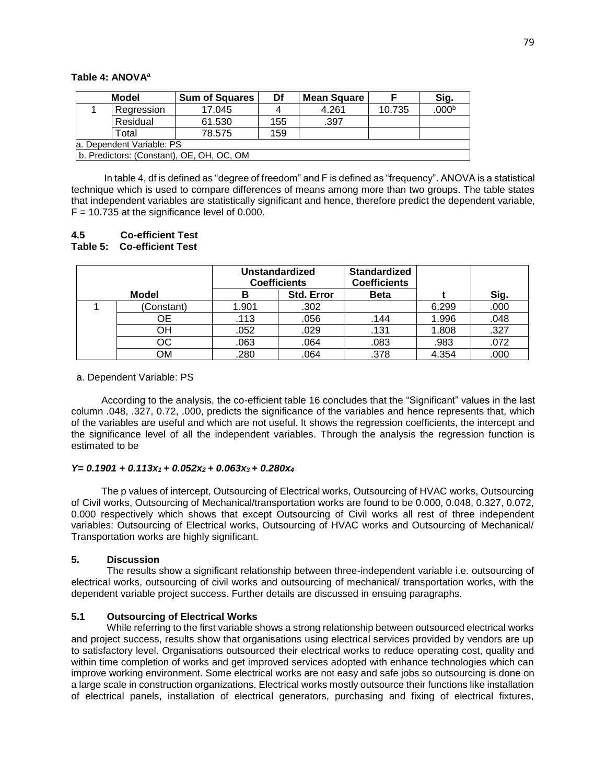## **Table 4: ANOVA<sup>a</sup>**

|                                           | Model      | <b>Sum of Squares</b> | Df  | <b>Mean Square</b> |        | Sig.              |
|-------------------------------------------|------------|-----------------------|-----|--------------------|--------|-------------------|
|                                           | Regression | 17.045                | 4   | 4.261              | 10.735 | .000 <sup>b</sup> |
|                                           | Residual   | 61.530                | 155 | .397               |        |                   |
|                                           | Total      | 78.575                | 159 |                    |        |                   |
| la. Dependent Variable: PS                |            |                       |     |                    |        |                   |
| b. Predictors: (Constant), OE, OH, OC, OM |            |                       |     |                    |        |                   |

 In table 4, df is defined as "degree of freedom" and F is defined as "frequency". ANOVA is a statistical technique which is used to compare differences of means among more than two groups. The table states that independent variables are statistically significant and hence, therefore predict the dependent variable,  $F = 10.735$  at the significance level of 0.000.

## **4.5 Co-efficient Test Table 5: Co-efficient Test**

|              | <b>Unstandardized</b><br><b>Coefficients</b> |            | <b>Standardized</b><br><b>Coefficients</b> |       |      |
|--------------|----------------------------------------------|------------|--------------------------------------------|-------|------|
| <b>Model</b> | в                                            | Std. Error | <b>Beta</b>                                |       | Sig. |
| Constant)    | 1.901                                        | .302       |                                            | 6.299 | .000 |
| OE           | .113                                         | .056       | .144                                       | 1.996 | .048 |
| OН           | .052                                         | .029       | .131                                       | 1.808 | .327 |
| OС           | .063                                         | .064       | .083                                       | .983  | .072 |
| ОM           | .280                                         | .064       | .378                                       | 4.354 | .000 |

#### a. Dependent Variable: PS

 According to the analysis, the co-efficient table 16 concludes that the "Significant" values in the last column .048, .327, 0.72, .000, predicts the significance of the variables and hence represents that, which of the variables are useful and which are not useful. It shows the regression coefficients, the intercept and the significance level of all the independent variables. Through the analysis the regression function is estimated to be

#### *Y= 0.1901 + 0.113x1 + 0.052x2 + 0.063x3 + 0.280x<sup>4</sup>*

 The p values of intercept, Outsourcing of Electrical works, Outsourcing of HVAC works, Outsourcing of Civil works, Outsourcing of Mechanical/transportation works are found to be 0.000, 0.048, 0.327, 0.072, 0.000 respectively which shows that except Outsourcing of Civil works all rest of three independent variables: Outsourcing of Electrical works, Outsourcing of HVAC works and Outsourcing of Mechanical/ Transportation works are highly significant.

#### **5. Discussion**

 The results show a significant relationship between three-independent variable i.e. outsourcing of electrical works, outsourcing of civil works and outsourcing of mechanical/ transportation works, with the dependent variable project success. Further details are discussed in ensuing paragraphs.

## **5.1 Outsourcing of Electrical Works**

 While referring to the first variable shows a strong relationship between outsourced electrical works and project success, results show that organisations using electrical services provided by vendors are up to satisfactory level. Organisations outsourced their electrical works to reduce operating cost, quality and within time completion of works and get improved services adopted with enhance technologies which can improve working environment. Some electrical works are not easy and safe jobs so outsourcing is done on a large scale in construction organizations. Electrical works mostly outsource their functions like installation of electrical panels, installation of electrical generators, purchasing and fixing of electrical fixtures,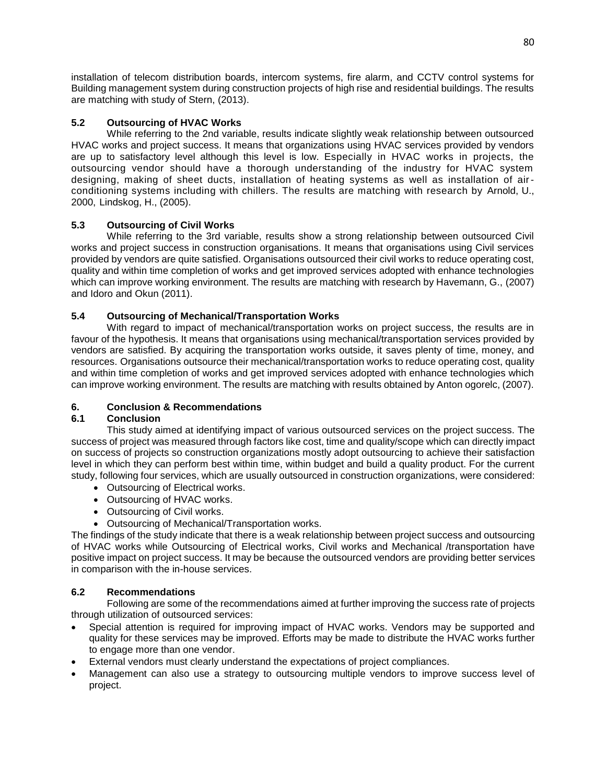installation of telecom distribution boards, intercom systems, fire alarm, and CCTV control systems for Building management system during construction projects of high rise and residential buildings. The results are matching with study of Stern, (2013).

# **5.2 Outsourcing of HVAC Works**

 While referring to the 2nd variable, results indicate slightly weak relationship between outsourced HVAC works and project success. It means that organizations using HVAC services provided by vendors are up to satisfactory level although this level is low. Especially in HVAC works in projects, the outsourcing vendor should have a thorough understanding of the industry for HVAC system designing, making of sheet ducts, installation of heating systems as well as installation of airconditioning systems including with chillers. The results are matching with research by Arnold, U., 2000, Lindskog, H., (2005).

# **5.3 Outsourcing of Civil Works**

 While referring to the 3rd variable, results show a strong relationship between outsourced Civil works and project success in construction organisations. It means that organisations using Civil services provided by vendors are quite satisfied. Organisations outsourced their civil works to reduce operating cost, quality and within time completion of works and get improved services adopted with enhance technologies which can improve working environment. The results are matching with research by Havemann, G., (2007) and Idoro and Okun (2011).

# **5.4 Outsourcing of Mechanical/Transportation Works**

 With regard to impact of mechanical/transportation works on project success, the results are in favour of the hypothesis. It means that organisations using mechanical/transportation services provided by vendors are satisfied. By acquiring the transportation works outside, it saves plenty of time, money, and resources. Organisations outsource their mechanical/transportation works to reduce operating cost, quality and within time completion of works and get improved services adopted with enhance technologies which can improve working environment. The results are matching with results obtained by Anton ogorelc, (2007).

# **6. Conclusion & Recommendations**

# **6.1 Conclusion**

 This study aimed at identifying impact of various outsourced services on the project success. The success of project was measured through factors like cost, time and quality/scope which can directly impact on success of projects so construction organizations mostly adopt outsourcing to achieve their satisfaction level in which they can perform best within time, within budget and build a quality product. For the current study, following four services, which are usually outsourced in construction organizations, were considered:

- Outsourcing of Electrical works.
- Outsourcing of HVAC works.
- Outsourcing of Civil works.
- Outsourcing of Mechanical/Transportation works.

The findings of the study indicate that there is a weak relationship between project success and outsourcing of HVAC works while Outsourcing of Electrical works, Civil works and Mechanical /transportation have positive impact on project success. It may be because the outsourced vendors are providing better services in comparison with the in-house services.

# **6.2 Recommendations**

 Following are some of the recommendations aimed at further improving the success rate of projects through utilization of outsourced services:

- Special attention is required for improving impact of HVAC works. Vendors may be supported and quality for these services may be improved. Efforts may be made to distribute the HVAC works further to engage more than one vendor.
- External vendors must clearly understand the expectations of project compliances.
- Management can also use a strategy to outsourcing multiple vendors to improve success level of project.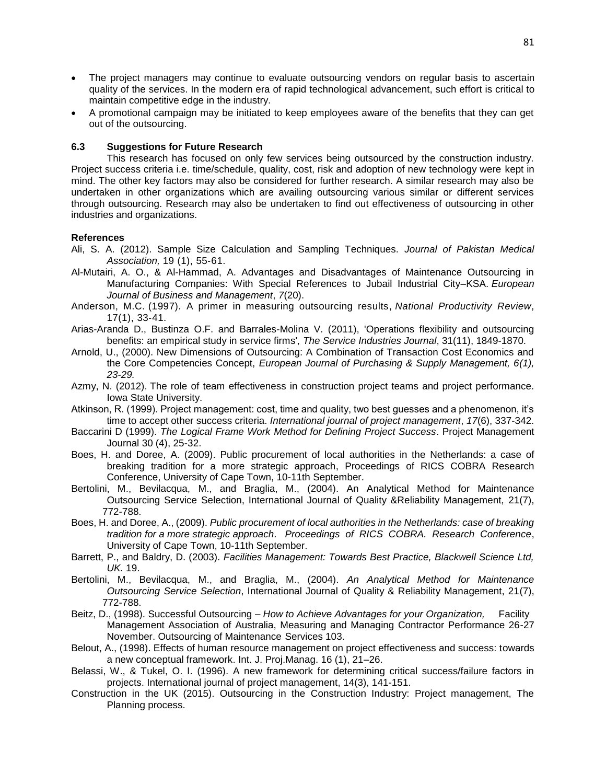- The project managers may continue to evaluate outsourcing vendors on regular basis to ascertain quality of the services. In the modern era of rapid technological advancement, such effort is critical to maintain competitive edge in the industry.
- A promotional campaign may be initiated to keep employees aware of the benefits that they can get out of the outsourcing.

## **6.3 Suggestions for Future Research**

 This research has focused on only few services being outsourced by the construction industry. Project success criteria i.e. time/schedule, quality, cost, risk and adoption of new technology were kept in mind. The other key factors may also be considered for further research. A similar research may also be undertaken in other organizations which are availing outsourcing various similar or different services through outsourcing. Research may also be undertaken to find out effectiveness of outsourcing in other industries and organizations.

## **References**

Ali, S. A. (2012). Sample Size Calculation and Sampling Techniques. *Journal of Pakistan Medical Association,* 19 (1), 55‐61.

- Al-Mutairi, A. O., & Al-Hammad, A. Advantages and Disadvantages of Maintenance Outsourcing in Manufacturing Companies: With Special References to Jubail Industrial City–KSA. *European Journal of Business and Management*, *7*(20).
- Anderson, M.C. (1997). A primer in measuring outsourcing results, *National Productivity Review*, 17(1), 33‐41.
- Arias-Aranda D., Bustinza O.F. and Barrales-Molina V. (2011), 'Operations flexibility and outsourcing benefits: an empirical study in service firms'*, The Service Industries Journal*, 31(11), 1849-1870.
- Arnold, U., (2000). New Dimensions of Outsourcing: A Combination of Transaction Cost Economics and the Core Competencies Concept, *European Journal of Purchasing & Supply Management, 6(1), 23-29.*
- Azmy, N. (2012). The role of team effectiveness in construction project teams and project performance. Iowa State University.
- Atkinson, R. (1999). Project management: cost, time and quality, two best guesses and a phenomenon, it's time to accept other success criteria. *International journal of project management*, *17*(6), 337-342.
- Baccarini D (1999). *The Logical Frame Work Method for Defining Project Success*. Project Management Journal 30 (4), 25-32.
- Boes, H. and Doree, A. (2009). Public procurement of local authorities in the Netherlands: a case of breaking tradition for a more strategic approach, Proceedings of RICS COBRA Research Conference, University of Cape Town, 10-11th September.
- Bertolini, M., Bevilacqua, M., and Braglia, M., (2004). An Analytical Method for Maintenance Outsourcing Service Selection, International Journal of Quality &Reliability Management, 21(7), 772-788.
- Boes, H. and Doree, A., (2009). *Public procurement of local authorities in the Netherlands: case of breaking tradition for a more strategic approach*. *Proceedings of RICS COBRA. Research Conference*, University of Cape Town, 10-11th September.
- Barrett, P., and Baldry, D. (2003). *Facilities Management: Towards Best Practice, Blackwell Science Ltd, UK.* 19.
- Bertolini, M., Bevilacqua, M., and Braglia, M., (2004). *An Analytical Method for Maintenance Outsourcing Service Selection*, International Journal of Quality & Reliability Management, 21(7), 772-788.
- Beitz, D., (1998). Successful Outsourcing *How to Achieve Advantages for your Organization,* Facility Management Association of Australia, Measuring and Managing Contractor Performance 26-27 November. Outsourcing of Maintenance Services 103.
- Belout, A., (1998). Effects of human resource management on project effectiveness and success: towards a new conceptual framework. Int. J. Proj.Manag. 16 (1), 21–26.
- Belassi, W., & Tukel, O. I. (1996). A new framework for determining critical success/failure factors in projects. International journal of project management, 14(3), 141-151.
- Construction in the UK (2015). Outsourcing in the Construction Industry: Project management, The Planning process.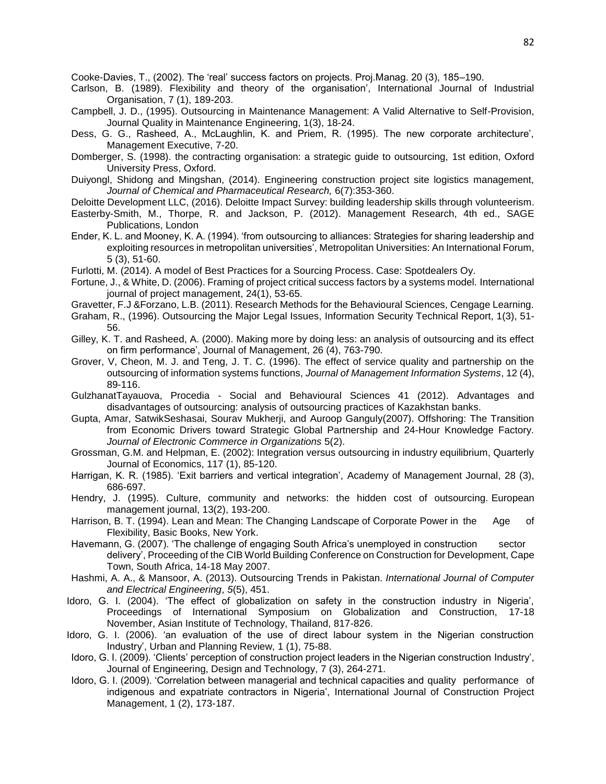Cooke-Davies, T., (2002). The 'real' success factors on projects. Proj.Manag. 20 (3), 185–190.

- Carlson, B. (1989). Flexibility and theory of the organisation', International Journal of Industrial Organisation, 7 (1), 189-203.
- Campbell, J. D., (1995). Outsourcing in Maintenance Management: A Valid Alternative to Self-Provision, Journal Quality in Maintenance Engineering, 1(3), 18-24.
- Dess, G. G., Rasheed, A., McLaughlin, K. and Priem, R. (1995). The new corporate architecture', Management Executive, 7-20.
- Domberger, S. (1998). the contracting organisation: a strategic guide to outsourcing, 1st edition, Oxford University Press, Oxford.
- Duiyongl, Shidong and Mingshan, (2014). Engineering construction project site logistics management, *Journal of Chemical and Pharmaceutical Research,* 6(7):353-360.
- Deloitte Development LLC, (2016). Deloitte Impact Survey: building leadership skills through volunteerism.
- Easterby-Smith, M., Thorpe, R. and Jackson, P. (2012). Management Research, 4th ed., SAGE Publications, London
- Ender, K. L. and Mooney, K. A. (1994). 'from outsourcing to alliances: Strategies for sharing leadership and exploiting resources in metropolitan universities', Metropolitan Universities: An International Forum, 5 (3), 51-60.
- Furlotti, M. (2014). A model of Best Practices for a Sourcing Process. Case: Spotdealers Oy.
- Fortune, J., & White, D. (2006). Framing of project critical success factors by a systems model. International journal of project management, 24(1), 53-65.
- Gravetter, F.J &Forzano, L.B. (2011). Research Methods for the Behavioural Sciences, Cengage Learning.
- Graham, R., (1996). Outsourcing the Major Legal Issues, Information Security Technical Report, 1(3), 51- 56.
- Gilley, K. T. and Rasheed, A. (2000). Making more by doing less: an analysis of outsourcing and its effect on firm performance', Journal of Management, 26 (4), 763-790.
- Grover, V, Cheon, M. J. and Teng, J. T. C. (1996). The effect of service quality and partnership on the outsourcing of information systems functions, *Journal of Management Information Systems*, 12 (4), 89-116.
- GulzhanatTayauova, Procedia Social and Behavioural Sciences 41 (2012). Advantages and disadvantages of outsourcing: analysis of outsourcing practices of Kazakhstan banks.
- Gupta, Amar, SatwikSeshasai, Sourav Mukherji, and Auroop Ganguly(2007). Offshoring: The Transition from Economic Drivers toward Strategic Global Partnership and 24-Hour Knowledge Factory. *Journal of Electronic Commerce in Organizations* 5(2).
- Grossman, G.M. and Helpman, E. (2002): Integration versus outsourcing in industry equilibrium, Quarterly Journal of Economics, 117 (1), 85-120.
- Harrigan, K. R. (1985). 'Exit barriers and vertical integration', Academy of Management Journal, 28 (3), 686-697.
- Hendry, J. (1995). Culture, community and networks: the hidden cost of outsourcing. European management journal, 13(2), 193-200.
- Harrison, B. T. (1994). Lean and Mean: The Changing Landscape of Corporate Power in the Age of Flexibility, Basic Books, New York.
- Havemann, G. (2007). 'The challenge of engaging South Africa's unemployed in construction sector delivery', Proceeding of the CIB World Building Conference on Construction for Development, Cape Town, South Africa, 14-18 May 2007.
- Hashmi, A. A., & Mansoor, A. (2013). Outsourcing Trends in Pakistan. *International Journal of Computer and Electrical Engineering*, *5*(5), 451.
- Idoro, G. I. (2004). 'The effect of globalization on safety in the construction industry in Nigeria', Proceedings of International Symposium on Globalization and Construction, 17-18 November, Asian Institute of Technology, Thailand, 817-826.
- Idoro, G. I. (2006). 'an evaluation of the use of direct labour system in the Nigerian construction Industry', Urban and Planning Review, 1 (1), 75-88.
- Idoro, G. I. (2009). 'Clients' perception of construction project leaders in the Nigerian construction Industry', Journal of Engineering, Design and Technology, 7 (3), 264-271.
- Idoro, G. I. (2009). 'Correlation between managerial and technical capacities and quality performance of indigenous and expatriate contractors in Nigeria', International Journal of Construction Project Management, 1 (2), 173-187.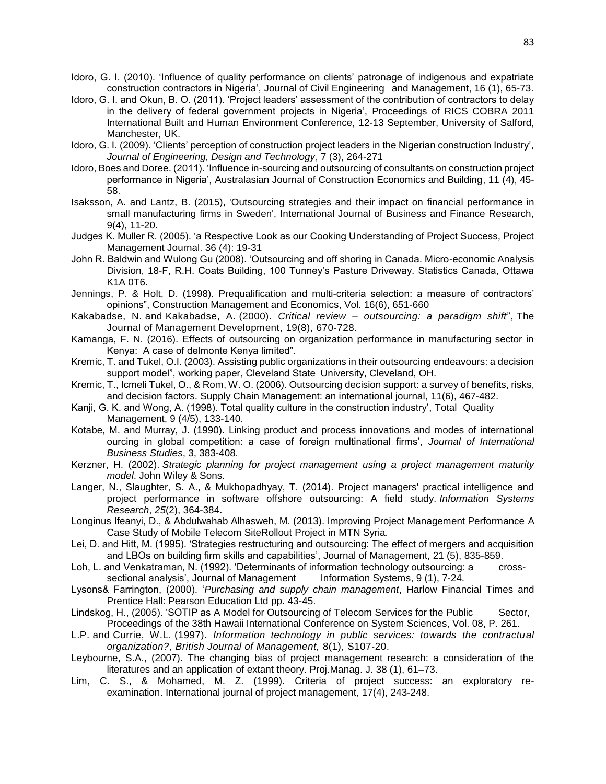- Idoro, G. I. (2010). 'Influence of quality performance on clients' patronage of indigenous and expatriate construction contractors in Nigeria', Journal of Civil Engineering and Management, 16 (1), 65-73.
- Idoro, G. I. and Okun, B. O. (2011). 'Project leaders' assessment of the contribution of contractors to delay in the delivery of federal government projects in Nigeria', Proceedings of RICS COBRA 2011 International Built and Human Environment Conference, 12-13 September, University of Salford, Manchester, UK.
- Idoro, G. I. (2009). 'Clients' perception of construction project leaders in the Nigerian construction Industry', *Journal of Engineering, Design and Technology*, 7 (3), 264-271
- Idoro, Boes and Doree. (2011). 'Influence in-sourcing and outsourcing of consultants on construction project performance in Nigeria', Australasian Journal of Construction Economics and Building, 11 (4), 45- 58.
- Isaksson, A. and Lantz, B. (2015), 'Outsourcing strategies and their impact on financial performance in small manufacturing firms in Sweden', International Journal of Business and Finance Research, 9(4), 11-20.
- Judges K. Muller R. (2005). 'a Respective Look as our Cooking Understanding of Project Success, Project Management Journal. 36 (4): 19-31
- John R. Baldwin and Wulong Gu (2008). 'Outsourcing and off shoring in Canada. Micro-economic Analysis Division, 18-F, R.H. Coats Building, 100 Tunney's Pasture Driveway. Statistics Canada, Ottawa K1A 0T6.
- Jennings, P. & Holt, D. (1998). Prequalification and multi-criteria selection: a measure of contractors' opinions", Construction Management and Economics, Vol. 16(6), 651-660
- Kakabadse, N. and Kakabadse, A. (2000). *Critical review – outsourcing: a paradigm shift*", The Journal of Management Development, 19(8), 670‐728.
- Kamanga, F. N. (2016). Effects of outsourcing on organization performance in manufacturing sector in Kenya: A case of delmonte Kenya limited".
- Kremic, T. and Tukel, O.I. (2003). Assisting public organizations in their outsourcing endeavours: a decision support model", working paper, Cleveland State University, Cleveland, OH.
- Kremic, T., Icmeli Tukel, O., & Rom, W. O. (2006). Outsourcing decision support: a survey of benefits, risks, and decision factors. Supply Chain Management: an international journal, 11(6), 467-482.
- Kanji, G. K. and Wong, A. (1998). Total quality culture in the construction industry', Total Quality Management, 9 (4/5), 133-140.
- Kotabe, M. and Murray, J. (1990). Linking product and process innovations and modes of international ourcing in global competition: a case of foreign multinational firms', *Journal of International Business Studies*, 3, 383-408.
- Kerzner, H. (2002). *Strategic planning for project management using a project management maturity model*. John Wiley & Sons.
- Langer, N., Slaughter, S. A., & Mukhopadhyay, T. (2014). Project managers' practical intelligence and project performance in software offshore outsourcing: A field study. *Information Systems Research*, *25*(2), 364-384.
- Longinus Ifeanyi, D., & Abdulwahab Alhasweh, M. (2013). Improving Project Management Performance A Case Study of Mobile Telecom SiteRollout Project in MTN Syria.
- Lei, D. and Hitt, M. (1995). 'Strategies restructuring and outsourcing: The effect of mergers and acquisition and LBOs on building firm skills and capabilities', Journal of Management, 21 (5), 835-859.
- Loh, L. and Venkatraman, N. (1992). 'Determinants of information technology outsourcing: a crosssectional analysis', Journal of Management Information Systems, 9 (1), 7-24.
- Lysons& Farrington, (2000). '*Purchasing and supply chain management*, Harlow Financial Times and Prentice Hall: Pearson Education Ltd pp. 43-45.
- Lindskog, H., (2005). 'SOTIP as A Model for Outsourcing of Telecom Services for the Public Sector, Proceedings of the 38th Hawaii International Conference on System Sciences, Vol. 08, P. 261.
- L.P. and Currie, W.L. (1997). *Information technology in public services: towards the contractual organization?*, *British Journal of Management,* 8(1), S107‐20.
- Leybourne, S.A., (2007). The changing bias of project management research: a consideration of the literatures and an application of extant theory. Proj.Manag. J. 38 (1), 61–73.
- Lim, C. S., & Mohamed, M. Z. (1999). Criteria of project success: an exploratory reexamination. International journal of project management, 17(4), 243-248.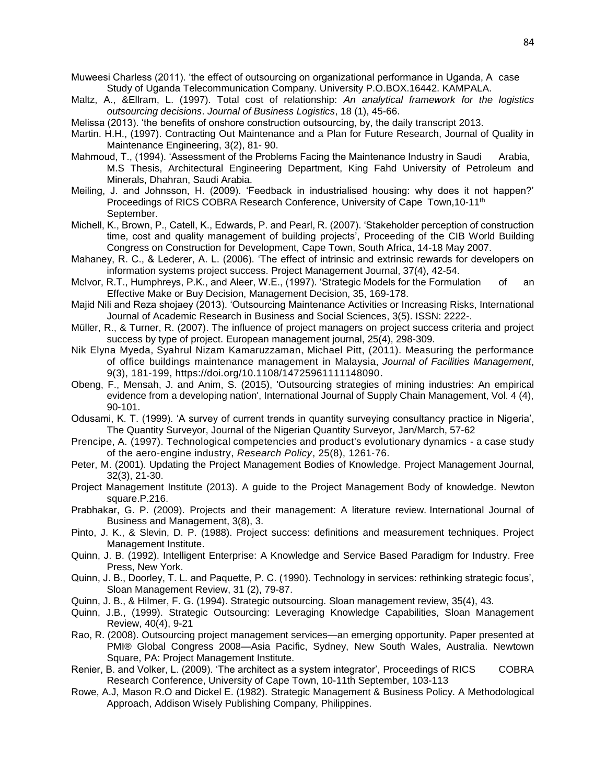Muweesi Charless (2011). 'the effect of outsourcing on organizational performance in Uganda, A case Study of Uganda Telecommunication Company. University P.O.BOX.16442. KAMPALA.

- Maltz, A., &Ellram, L. (1997). Total cost of relationship: *An analytical framework for the logistics outsourcing decisions*. *Journal of Business Logistics*, 18 (1), 45-66.
- Melissa (2013). 'the benefits of onshore construction outsourcing, by, the daily transcript 2013.
- Martin. H.H., (1997). Contracting Out Maintenance and a Plan for Future Research, Journal of Quality in Maintenance Engineering, 3(2), 81- 90.
- Mahmoud, T., (1994). 'Assessment of the Problems Facing the Maintenance Industry in Saudi Arabia, M.S Thesis, Architectural Engineering Department, King Fahd University of Petroleum and Minerals, Dhahran, Saudi Arabia.
- Meiling, J. and Johnsson, H. (2009). 'Feedback in industrialised housing: why does it not happen?' Proceedings of RICS COBRA Research Conference, University of Cape Town, 10-11<sup>th</sup> September.
- Michell, K., Brown, P., Catell, K., Edwards, P. and Pearl, R. (2007). 'Stakeholder perception of construction time, cost and quality management of building projects', Proceeding of the CIB World Building Congress on Construction for Development, Cape Town, South Africa, 14-18 May 2007.
- Mahaney, R. C., & Lederer, A. L. (2006). 'The effect of intrinsic and extrinsic rewards for developers on information systems project success. Project Management Journal, 37(4), 42-54.
- McIvor, R.T., Humphreys, P.K., and Aleer, W.E., (1997). 'Strategic Models for the Formulation of an Effective Make or Buy Decision, Management Decision, 35, 169-178.
- Majid Nili and Reza shojaey (2013). 'Outsourcing Maintenance Activities or Increasing Risks, International Journal of Academic Research in Business and Social Sciences, 3(5). ISSN: 2222-.
- [Müller, R., & Turner, R. \(2007\). The influence of project managers on project success criteria and project](https://www.emeraldinsight.com/author/Elyna+Myeda%2C+Nik)  success by type of project. [European management journal,](https://www.emeraldinsight.com/author/Elyna+Myeda%2C+Nik) 25(4), 298-309.
- [Nik Elyna Myeda,](https://www.emeraldinsight.com/author/Elyna+Myeda%2C+Nik) [Syahrul Nizam Kamaruzzaman,](https://www.emeraldinsight.com/author/Nizam+Kamaruzzaman%2C+Syahrul) [Michael Pitt,](https://www.emeraldinsight.com/author/Pitt%2C+Michael) (2011). Measuring the performance of office buildings maintenance management in Malaysia, *Journal of Facilities Management*, 9(3), 181-199, [https://doi.org/10.1108/14725961111148090.](https://doi.org/10.1108/14725961111148090)
- Obeng, F., Mensah, J. and Anim, S. (2015), 'Outsourcing strategies of mining industries: An empirical evidence from a developing nation', International Journal of Supply Chain Management, Vol. 4 (4), 90-101.
- Odusami, K. T. (1999). 'A survey of current trends in quantity surveying consultancy practice in Nigeria', The Quantity Surveyor, Journal of the Nigerian Quantity Surveyor, Jan/March, 57-62
- Prencipe, A. (1997). Technological competencies and product's evolutionary dynamics a case study of the aero‐engine industry, *Research Policy*, 25(8), 1261‐76.
- Peter, M. (2001). Updating the Project Management Bodies of Knowledge. Project Management Journal, 32(3), 21-30.
- Project Management Institute (2013). A guide to the Project Management Body of knowledge. Newton square.P.216.
- Prabhakar, G. P. (2009). Projects and their management: A literature review. International Journal of Business and Management, 3(8), 3.
- Pinto, J. K., & Slevin, D. P. (1988). Project success: definitions and measurement techniques. Project Management Institute.
- Quinn, J. B. (1992). Intelligent Enterprise: A Knowledge and Service Based Paradigm for Industry. Free Press, New York.
- Quinn, J. B., Doorley, T. L. and Paquette, P. C. (1990). Technology in services: rethinking strategic focus', Sloan Management Review, 31 (2), 79-87.
- Quinn, J. B., & Hilmer, F. G. (1994). Strategic outsourcing. Sloan management review, 35(4), 43.
- Quinn, J.B., (1999). Strategic Outsourcing: Leveraging Knowledge Capabilities, Sloan Management Review, 40(4), 9-21
- Rao, R. (2008). Outsourcing project management services—an emerging opportunity. Paper presented at PMI® Global Congress 2008—Asia Pacific, Sydney, New South Wales, Australia. Newtown Square, PA: Project Management Institute.
- Renier, B. and Volker, L. (2009). 'The architect as a system integrator', Proceedings of RICS COBRA Research Conference, University of Cape Town, 10-11th September, 103-113
- Rowe, A.J, Mason R.O and Dickel E. (1982). Strategic Management & Business Policy. A Methodological Approach, Addison Wisely Publishing Company, Philippines.